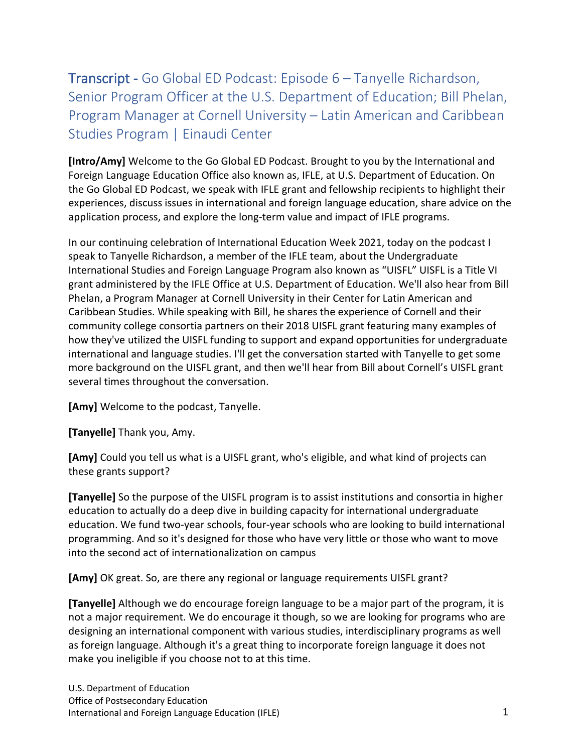## Transcript - Go Global ED Podcast: Episode 6 – Tanyelle Richardson, Senior Program Officer at the U.S. Department of Education; Bill Phelan, Program Manager at Cornell University – Latin American and Caribbean Studies Program | Einaudi Center

**[Intro/Amy]** Welcome to the Go Global ED Podcast. Brought to you by the International and Foreign Language Education Office also known as, IFLE, at U.S. Department of Education. On the Go Global ED Podcast, we speak with IFLE grant and fellowship recipients to highlight their experiences, discuss issues in international and foreign language education, share advice on the application process, and explore the long-term value and impact of IFLE programs.

In our continuing celebration of International Education Week 2021, today on the podcast I speak to Tanyelle Richardson, a member of the IFLE team, about the Undergraduate International Studies and Foreign Language Program also known as "UISFL" UISFL is a Title VI grant administered by the IFLE Office at U.S. Department of Education. We'll also hear from Bill Phelan, a Program Manager at Cornell University in their Center for Latin American and Caribbean Studies. While speaking with Bill, he shares the experience of Cornell and their community college consortia partners on their 2018 UISFL grant featuring many examples of how they've utilized the UISFL funding to support and expand opportunities for undergraduate international and language studies. I'll get the conversation started with Tanyelle to get some more background on the UISFL grant, and then we'll hear from Bill about Cornell's UISFL grant several times throughout the conversation.

**[Amy]** Welcome to the podcast, Tanyelle.

**[Tanyelle]** Thank you, Amy.

**[Amy]** Could you tell us what is a UISFL grant, who's eligible, and what kind of projects can these grants support?

**[Tanyelle]** So the purpose of the UISFL program is to assist institutions and consortia in higher education to actually do a deep dive in building capacity for international undergraduate education. We fund two-year schools, four-year schools who are looking to build international programming. And so it's designed for those who have very little or those who want to move into the second act of internationalization on campus

**[Amy]** OK great. So, are there any regional or language requirements UISFL grant?

**[Tanyelle]** Although we do encourage foreign language to be a major part of the program, it is not a major requirement. We do encourage it though, so we are looking for programs who are designing an international component with various studies, interdisciplinary programs as well as foreign language. Although it's a great thing to incorporate foreign language it does not make you ineligible if you choose not to at this time.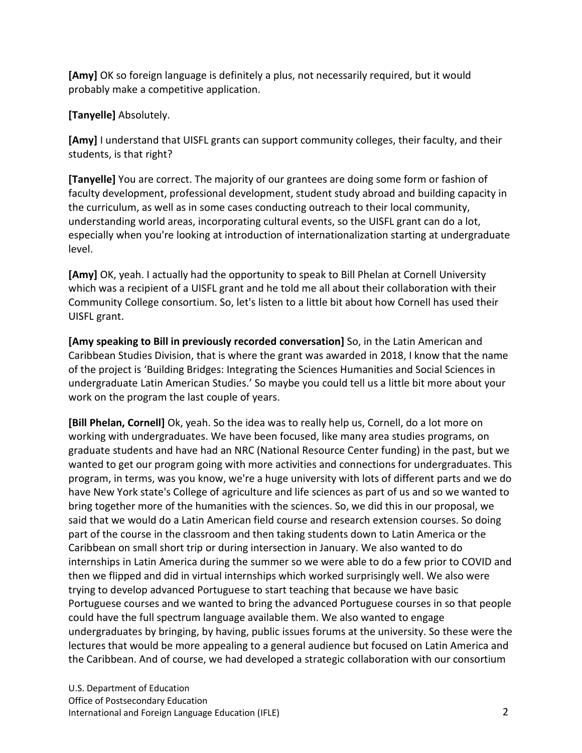**[Amy]** OK so foreign language is definitely a plus, not necessarily required, but it would probably make a competitive application.

## **[Tanyelle]** Absolutely.

**[Amy]** I understand that UISFL grants can support community colleges, their faculty, and their students, is that right?

**[Tanyelle]** You are correct. The majority of our grantees are doing some form or fashion of faculty development, professional development, student study abroad and building capacity in the curriculum, as well as in some cases conducting outreach to their local community, understanding world areas, incorporating cultural events, so the UISFL grant can do a lot, especially when you're looking at introduction of internationalization starting at undergraduate level.

**[Amy]** OK, yeah. I actually had the opportunity to speak to Bill Phelan at Cornell University which was a recipient of a UISFL grant and he told me all about their collaboration with their Community College consortium. So, let's listen to a little bit about how Cornell has used their UISFL grant.

**[Amy speaking to Bill in previously recorded conversation]** So, in the Latin American and Caribbean Studies Division, that is where the grant was awarded in 2018, I know that the name of the project is 'Building Bridges: Integrating the Sciences Humanities and Social Sciences in undergraduate Latin American Studies.' So maybe you could tell us a little bit more about your work on the program the last couple of years.

**[Bill Phelan, Cornell]** Ok, yeah. So the idea was to really help us, Cornell, do a lot more on working with undergraduates. We have been focused, like many area studies programs, on graduate students and have had an NRC (National Resource Center funding) in the past, but we wanted to get our program going with more activities and connections for undergraduates. This program, in terms, was you know, we're a huge university with lots of different parts and we do have New York state's College of agriculture and life sciences as part of us and so we wanted to bring together more of the humanities with the sciences. So, we did this in our proposal, we said that we would do a Latin American field course and research extension courses. So doing part of the course in the classroom and then taking students down to Latin America or the Caribbean on small short trip or during intersection in January. We also wanted to do internships in Latin America during the summer so we were able to do a few prior to COVID and then we flipped and did in virtual internships which worked surprisingly well. We also were trying to develop advanced Portuguese to start teaching that because we have basic Portuguese courses and we wanted to bring the advanced Portuguese courses in so that people could have the full spectrum language available them. We also wanted to engage undergraduates by bringing, by having, public issues forums at the university. So these were the lectures that would be more appealing to a general audience but focused on Latin America and the Caribbean. And of course, we had developed a strategic collaboration with our consortium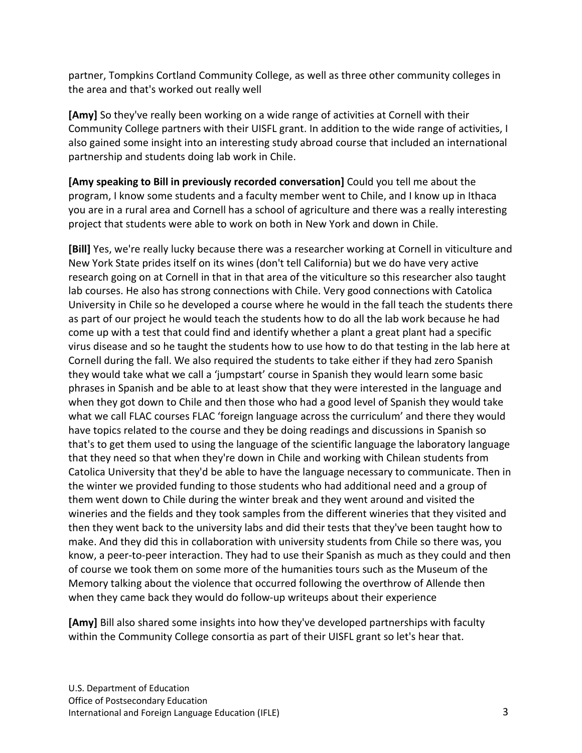partner, Tompkins Cortland Community College, as well as three other community colleges in the area and that's worked out really well

**[Amy]** So they've really been working on a wide range of activities at Cornell with their Community College partners with their UISFL grant. In addition to the wide range of activities, I also gained some insight into an interesting study abroad course that included an international partnership and students doing lab work in Chile.

**[Amy speaking to Bill in previously recorded conversation]** Could you tell me about the program, I know some students and a faculty member went to Chile, and I know up in Ithaca you are in a rural area and Cornell has a school of agriculture and there was a really interesting project that students were able to work on both in New York and down in Chile.

**[Bill]** Yes, we're really lucky because there was a researcher working at Cornell in viticulture and New York State prides itself on its wines (don't tell California) but we do have very active research going on at Cornell in that in that area of the viticulture so this researcher also taught lab courses. He also has strong connections with Chile. Very good connections with Catolica University in Chile so he developed a course where he would in the fall teach the students there as part of our project he would teach the students how to do all the lab work because he had come up with a test that could find and identify whether a plant a great plant had a specific virus disease and so he taught the students how to use how to do that testing in the lab here at Cornell during the fall. We also required the students to take either if they had zero Spanish they would take what we call a 'jumpstart' course in Spanish they would learn some basic phrases in Spanish and be able to at least show that they were interested in the language and when they got down to Chile and then those who had a good level of Spanish they would take what we call FLAC courses FLAC 'foreign language across the curriculum' and there they would have topics related to the course and they be doing readings and discussions in Spanish so that's to get them used to using the language of the scientific language the laboratory language that they need so that when they're down in Chile and working with Chilean students from Catolica University that they'd be able to have the language necessary to communicate. Then in the winter we provided funding to those students who had additional need and a group of them went down to Chile during the winter break and they went around and visited the wineries and the fields and they took samples from the different wineries that they visited and then they went back to the university labs and did their tests that they've been taught how to make. And they did this in collaboration with university students from Chile so there was, you know, a peer-to-peer interaction. They had to use their Spanish as much as they could and then of course we took them on some more of the humanities tours such as the Museum of the Memory talking about the violence that occurred following the overthrow of Allende then when they came back they would do follow-up writeups about their experience

**[Amy]** Bill also shared some insights into how they've developed partnerships with faculty within the Community College consortia as part of their UISFL grant so let's hear that.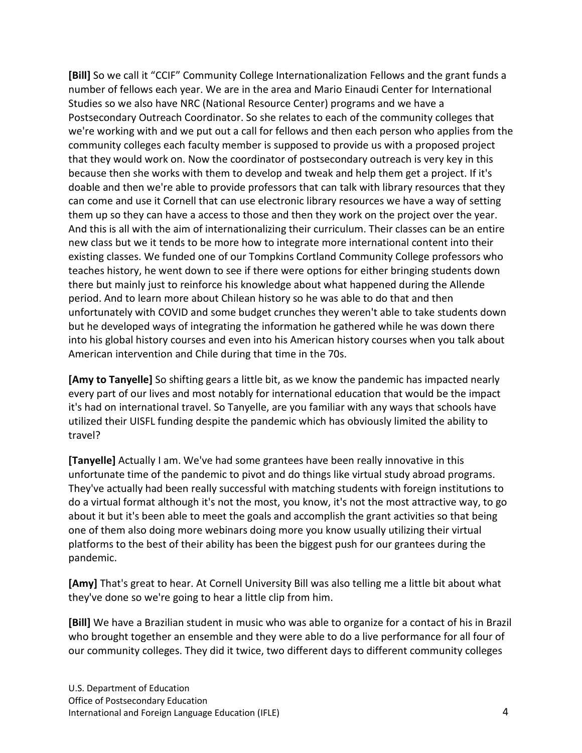**[Bill]** So we call it "CCIF" Community College Internationalization Fellows and the grant funds a number of fellows each year. We are in the area and Mario Einaudi Center for International Studies so we also have NRC (National Resource Center) programs and we have a Postsecondary Outreach Coordinator. So she relates to each of the community colleges that we're working with and we put out a call for fellows and then each person who applies from the community colleges each faculty member is supposed to provide us with a proposed project that they would work on. Now the coordinator of postsecondary outreach is very key in this because then she works with them to develop and tweak and help them get a project. If it's doable and then we're able to provide professors that can talk with library resources that they can come and use it Cornell that can use electronic library resources we have a way of setting them up so they can have a access to those and then they work on the project over the year. And this is all with the aim of internationalizing their curriculum. Their classes can be an entire new class but we it tends to be more how to integrate more international content into their existing classes. We funded one of our Tompkins Cortland Community College professors who teaches history, he went down to see if there were options for either bringing students down there but mainly just to reinforce his knowledge about what happened during the Allende period. And to learn more about Chilean history so he was able to do that and then unfortunately with COVID and some budget crunches they weren't able to take students down but he developed ways of integrating the information he gathered while he was down there into his global history courses and even into his American history courses when you talk about American intervention and Chile during that time in the 70s.

**[Amy to Tanyelle]** So shifting gears a little bit, as we know the pandemic has impacted nearly every part of our lives and most notably for international education that would be the impact it's had on international travel. So Tanyelle, are you familiar with any ways that schools have utilized their UISFL funding despite the pandemic which has obviously limited the ability to travel?

**[Tanyelle]** Actually I am. We've had some grantees have been really innovative in this unfortunate time of the pandemic to pivot and do things like virtual study abroad programs. They've actually had been really successful with matching students with foreign institutions to do a virtual format although it's not the most, you know, it's not the most attractive way, to go about it but it's been able to meet the goals and accomplish the grant activities so that being one of them also doing more webinars doing more you know usually utilizing their virtual platforms to the best of their ability has been the biggest push for our grantees during the pandemic.

**[Amy]** That's great to hear. At Cornell University Bill was also telling me a little bit about what they've done so we're going to hear a little clip from him.

**[Bill]** We have a Brazilian student in music who was able to organize for a contact of his in Brazil who brought together an ensemble and they were able to do a live performance for all four of our community colleges. They did it twice, two different days to different community colleges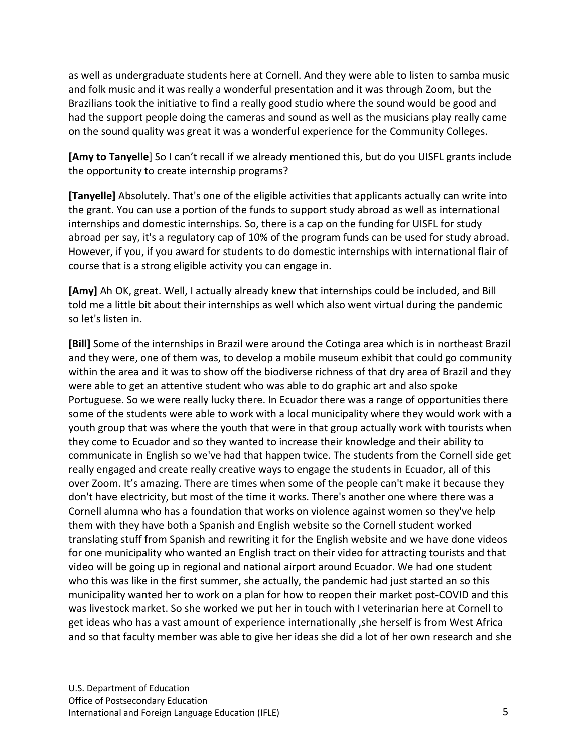as well as undergraduate students here at Cornell. And they were able to listen to samba music and folk music and it was really a wonderful presentation and it was through Zoom, but the Brazilians took the initiative to find a really good studio where the sound would be good and had the support people doing the cameras and sound as well as the musicians play really came on the sound quality was great it was a wonderful experience for the Community Colleges.

**[Amy to Tanyelle**] So I can't recall if we already mentioned this, but do you UISFL grants include the opportunity to create internship programs?

**[Tanyelle]** Absolutely. That's one of the eligible activities that applicants actually can write into the grant. You can use a portion of the funds to support study abroad as well as international internships and domestic internships. So, there is a cap on the funding for UISFL for study abroad per say, it's a regulatory cap of 10% of the program funds can be used for study abroad. However, if you, if you award for students to do domestic internships with international flair of course that is a strong eligible activity you can engage in.

**[Amy]** Ah OK, great. Well, I actually already knew that internships could be included, and Bill told me a little bit about their internships as well which also went virtual during the pandemic so let's listen in.

**[Bill]** Some of the internships in Brazil were around the Cotinga area which is in northeast Brazil and they were, one of them was, to develop a mobile museum exhibit that could go community within the area and it was to show off the biodiverse richness of that dry area of Brazil and they were able to get an attentive student who was able to do graphic art and also spoke Portuguese. So we were really lucky there. In Ecuador there was a range of opportunities there some of the students were able to work with a local municipality where they would work with a youth group that was where the youth that were in that group actually work with tourists when they come to Ecuador and so they wanted to increase their knowledge and their ability to communicate in English so we've had that happen twice. The students from the Cornell side get really engaged and create really creative ways to engage the students in Ecuador, all of this over Zoom. It's amazing. There are times when some of the people can't make it because they don't have electricity, but most of the time it works. There's another one where there was a Cornell alumna who has a foundation that works on violence against women so they've help them with they have both a Spanish and English website so the Cornell student worked translating stuff from Spanish and rewriting it for the English website and we have done videos for one municipality who wanted an English tract on their video for attracting tourists and that video will be going up in regional and national airport around Ecuador. We had one student who this was like in the first summer, she actually, the pandemic had just started an so this municipality wanted her to work on a plan for how to reopen their market post-COVID and this was livestock market. So she worked we put her in touch with I veterinarian here at Cornell to get ideas who has a vast amount of experience internationally ,she herself is from West Africa and so that faculty member was able to give her ideas she did a lot of her own research and she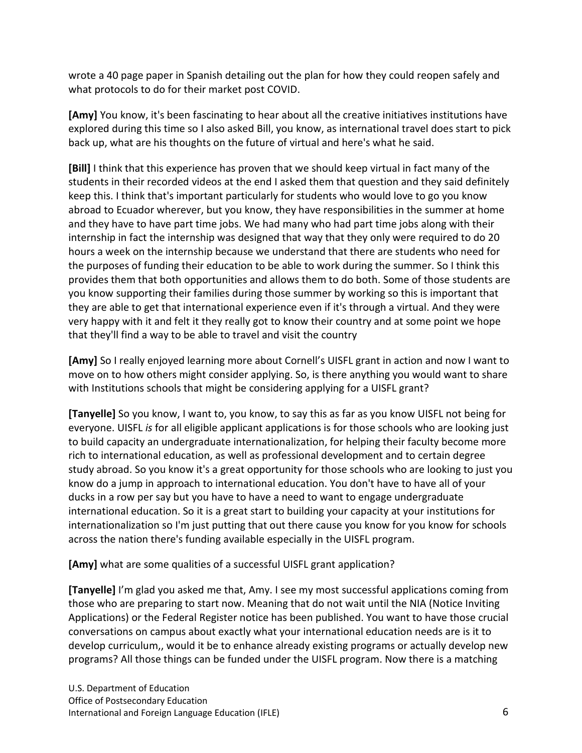wrote a 40 page paper in Spanish detailing out the plan for how they could reopen safely and what protocols to do for their market post COVID.

**[Amy]** You know, it's been fascinating to hear about all the creative initiatives institutions have explored during this time so I also asked Bill, you know, as international travel does start to pick back up, what are his thoughts on the future of virtual and here's what he said.

**[Bill]** I think that this experience has proven that we should keep virtual in fact many of the students in their recorded videos at the end I asked them that question and they said definitely keep this. I think that's important particularly for students who would love to go you know abroad to Ecuador wherever, but you know, they have responsibilities in the summer at home and they have to have part time jobs. We had many who had part time jobs along with their internship in fact the internship was designed that way that they only were required to do 20 hours a week on the internship because we understand that there are students who need for the purposes of funding their education to be able to work during the summer. So I think this provides them that both opportunities and allows them to do both. Some of those students are you know supporting their families during those summer by working so this is important that they are able to get that international experience even if it's through a virtual. And they were very happy with it and felt it they really got to know their country and at some point we hope that they'll find a way to be able to travel and visit the country

**[Amy]** So I really enjoyed learning more about Cornell's UISFL grant in action and now I want to move on to how others might consider applying. So, is there anything you would want to share with Institutions schools that might be considering applying for a UISFL grant?

**[Tanyelle]** So you know, I want to, you know, to say this as far as you know UISFL not being for everyone. UISFL *is* for all eligible applicant applications is for those schools who are looking just to build capacity an undergraduate internationalization, for helping their faculty become more rich to international education, as well as professional development and to certain degree study abroad. So you know it's a great opportunity for those schools who are looking to just you know do a jump in approach to international education. You don't have to have all of your ducks in a row per say but you have to have a need to want to engage undergraduate international education. So it is a great start to building your capacity at your institutions for internationalization so I'm just putting that out there cause you know for you know for schools across the nation there's funding available especially in the UISFL program.

**[Amy]** what are some qualities of a successful UISFL grant application?

**[Tanyelle]** I'm glad you asked me that, Amy. I see my most successful applications coming from those who are preparing to start now. Meaning that do not wait until the NIA (Notice Inviting Applications) or the Federal Register notice has been published. You want to have those crucial conversations on campus about exactly what your international education needs are is it to develop curriculum,, would it be to enhance already existing programs or actually develop new programs? All those things can be funded under the UISFL program. Now there is a matching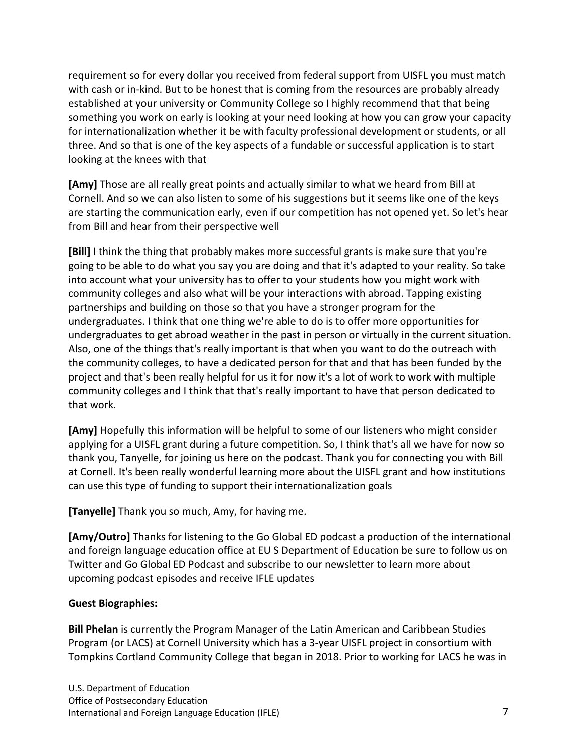requirement so for every dollar you received from federal support from UISFL you must match with cash or in-kind. But to be honest that is coming from the resources are probably already established at your university or Community College so I highly recommend that that being something you work on early is looking at your need looking at how you can grow your capacity for internationalization whether it be with faculty professional development or students, or all three. And so that is one of the key aspects of a fundable or successful application is to start looking at the knees with that

**[Amy]** Those are all really great points and actually similar to what we heard from Bill at Cornell. And so we can also listen to some of his suggestions but it seems like one of the keys are starting the communication early, even if our competition has not opened yet. So let's hear from Bill and hear from their perspective well

**[Bill]** I think the thing that probably makes more successful grants is make sure that you're going to be able to do what you say you are doing and that it's adapted to your reality. So take into account what your university has to offer to your students how you might work with community colleges and also what will be your interactions with abroad. Tapping existing partnerships and building on those so that you have a stronger program for the undergraduates. I think that one thing we're able to do is to offer more opportunities for undergraduates to get abroad weather in the past in person or virtually in the current situation. Also, one of the things that's really important is that when you want to do the outreach with the community colleges, to have a dedicated person for that and that has been funded by the project and that's been really helpful for us it for now it's a lot of work to work with multiple community colleges and I think that that's really important to have that person dedicated to that work.

**[Amy]** Hopefully this information will be helpful to some of our listeners who might consider applying for a UISFL grant during a future competition. So, I think that's all we have for now so thank you, Tanyelle, for joining us here on the podcast. Thank you for connecting you with Bill at Cornell. It's been really wonderful learning more about the UISFL grant and how institutions can use this type of funding to support their internationalization goals

**[Tanyelle]** Thank you so much, Amy, for having me.

**[Amy/Outro]** Thanks for listening to the Go Global ED podcast a production of the international and foreign language education office at EU S Department of Education be sure to follow us on Twitter and Go Global ED Podcast and subscribe to our newsletter to learn more about upcoming podcast episodes and receive IFLE updates

## **Guest Biographies:**

**Bill Phelan** is currently the Program Manager of the Latin American and Caribbean Studies Program (or LACS) at Cornell University which has a 3-year UISFL project in consortium with Tompkins Cortland Community College that began in 2018. Prior to working for LACS he was in